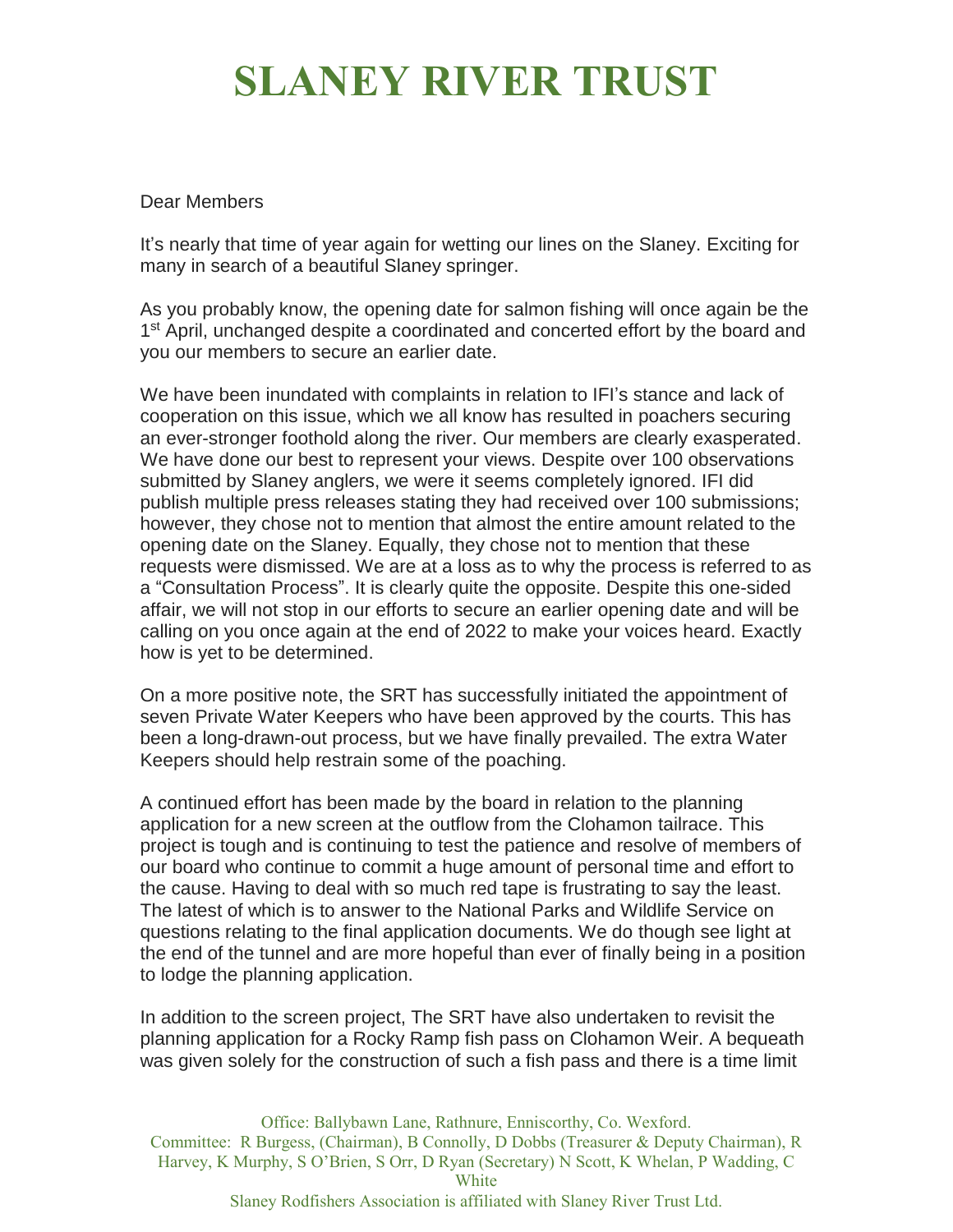## **SLANEY RIVER TRUST**

## Dear Members

It's nearly that time of year again for wetting our lines on the Slaney. Exciting for many in search of a beautiful Slaney springer.

As you probably know, the opening date for salmon fishing will once again be the 1<sup>st</sup> April, unchanged despite a coordinated and concerted effort by the board and you our members to secure an earlier date.

We have been inundated with complaints in relation to IFI's stance and lack of cooperation on this issue, which we all know has resulted in poachers securing an ever-stronger foothold along the river. Our members are clearly exasperated. We have done our best to represent your views. Despite over 100 observations submitted by Slaney anglers, we were it seems completely ignored. IFI did publish multiple press releases stating they had received over 100 submissions; however, they chose not to mention that almost the entire amount related to the opening date on the Slaney. Equally, they chose not to mention that these requests were dismissed. We are at a loss as to why the process is referred to as a "Consultation Process". It is clearly quite the opposite. Despite this one-sided affair, we will not stop in our efforts to secure an earlier opening date and will be calling on you once again at the end of 2022 to make your voices heard. Exactly how is yet to be determined.

On a more positive note, the SRT has successfully initiated the appointment of seven Private Water Keepers who have been approved by the courts. This has been a long-drawn-out process, but we have finally prevailed. The extra Water Keepers should help restrain some of the poaching.

A continued effort has been made by the board in relation to the planning application for a new screen at the outflow from the Clohamon tailrace. This project is tough and is continuing to test the patience and resolve of members of our board who continue to commit a huge amount of personal time and effort to the cause. Having to deal with so much red tape is frustrating to say the least. The latest of which is to answer to the National Parks and Wildlife Service on questions relating to the final application documents. We do though see light at the end of the tunnel and are more hopeful than ever of finally being in a position to lodge the planning application.

In addition to the screen project, The SRT have also undertaken to revisit the planning application for a Rocky Ramp fish pass on Clohamon Weir. A bequeath was given solely for the construction of such a fish pass and there is a time limit